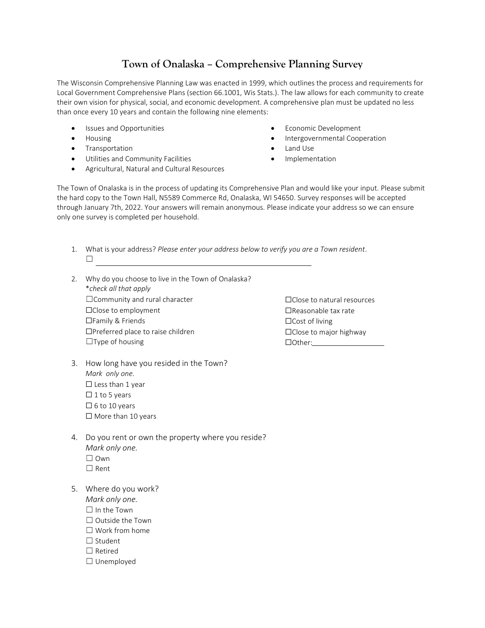## **Town of Onalaska – Comprehensive Planning Survey**

The Wisconsin Comprehensive Planning Law was enacted in 1999, which outlines the process and requirements for Local Government Comprehensive Plans (section 66.1001, Wis Stats.). The law allows for each community to create their own vision for physical, social, and economic development. A comprehensive plan must be updated no less than once every 10 years and contain the following nine elements:

- Issues and Opportunities
- Housing
- Transportation
- Utilities and Community Facilities
- Agricultural, Natural and Cultural Resources
- Economic Development
- Intergovernmental Cooperation
- Land Use
- **Implementation**

The Town of Onalaska is in the process of updating its Comprehensive Plan and would like your input. Please submit the hard copy to the Town Hall, N5589 Commerce Rd, Onalaska, WI 54650. Survey responses will be accepted through January 7th, 2022. Your answers will remain anonymous. Please indicate your address so we can ensure only one survey is completed per household.

- 1. What is your address? *Please enter your address below to verify you are a Town resident*. ☐
- 2. Why do you choose to live in the Town of Onalaska? \**check all that apply*  $\Box$ Community and rural character ☐Close to employment ☐Family & Friends ☐Preferred place to raise children  $\Box$ Type of housing
- 3. How long have you resided in the Town? *Mark only one.*  $\Box$  Less than 1 year  $\Box$  1 to 5 years  $\Box$  6 to 10 years □ More than 10 years
- 4. Do you rent or own the property where you reside? *Mark only one.* ☐ Own
	- ☐ Rent
- 5. Where do you work?
	- *Mark only one.*
	- ☐ In the Town
	- ☐ Outside the Town
	- ☐ Work from home
	- □ Student
	- ☐ Retired
	- ☐ Unemployed

☐Close to natural resources ☐Reasonable tax rate ☐Cost of living ☐Close to major highway ☐Other: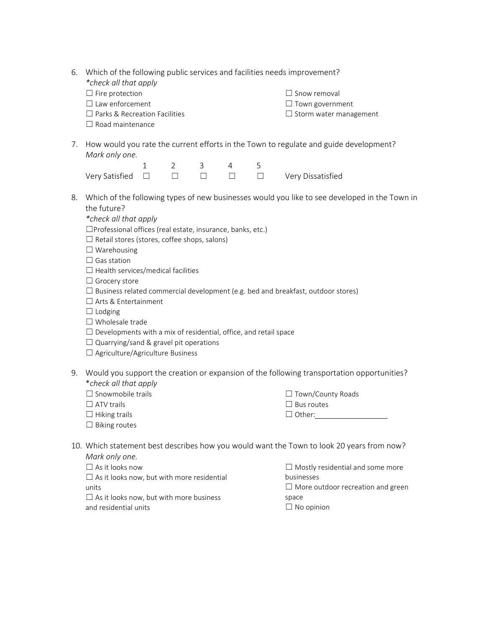| 6. | *check all that apply<br>$\Box$ Fire protection<br>$\Box$ Law enforcement<br>$\Box$ Parks & Recreation Facilities<br>$\Box$ Road maintenance                                                                                                                                                                                                                                                                                                                                                                                                                                                                                                                                                                         |              |                |        |                |        | Which of the following public services and facilities needs improvement?<br>$\Box$ Snow removal<br>$\Box$ Town government<br>$\Box$ Storm water management |  |  |
|----|----------------------------------------------------------------------------------------------------------------------------------------------------------------------------------------------------------------------------------------------------------------------------------------------------------------------------------------------------------------------------------------------------------------------------------------------------------------------------------------------------------------------------------------------------------------------------------------------------------------------------------------------------------------------------------------------------------------------|--------------|----------------|--------|----------------|--------|------------------------------------------------------------------------------------------------------------------------------------------------------------|--|--|
|    | 7. How would you rate the current efforts in the Town to regulate and guide development?<br>Mark only one.                                                                                                                                                                                                                                                                                                                                                                                                                                                                                                                                                                                                           |              |                |        |                |        |                                                                                                                                                            |  |  |
|    |                                                                                                                                                                                                                                                                                                                                                                                                                                                                                                                                                                                                                                                                                                                      | $\mathbf{1}$ | $\overline{2}$ | 3      | $\overline{4}$ | 5      |                                                                                                                                                            |  |  |
|    | Very Satisfied                                                                                                                                                                                                                                                                                                                                                                                                                                                                                                                                                                                                                                                                                                       | $\Box$       | $\Box$         | $\Box$ | $\Box$         | $\Box$ | Very Dissatisfied                                                                                                                                          |  |  |
| 8. | Which of the following types of new businesses would you like to see developed in the Town in<br>the future?<br>*check all that apply<br>□Professional offices (real estate, insurance, banks, etc.)<br>$\Box$ Retail stores (stores, coffee shops, salons)<br>$\Box$ Warehousing<br>$\Box$ Gas station<br>$\Box$ Health services/medical facilities<br>$\Box$ Grocery store<br>$\Box$ Business related commercial development (e.g. bed and breakfast, outdoor stores)<br>$\Box$ Arts & Entertainment<br>$\Box$ Lodging<br>$\Box$ Wholesale trade<br>$\Box$ Developments with a mix of residential, office, and retail space<br>$\Box$ Quarrying/sand & gravel pit operations<br>□ Agriculture/Agriculture Business |              |                |        |                |        |                                                                                                                                                            |  |  |
| 9. | *check all that apply<br>$\Box$ Snowmobile trails<br>$\Box$ ATV trails<br>$\Box$ Hiking trails<br>$\Box$ Biking routes                                                                                                                                                                                                                                                                                                                                                                                                                                                                                                                                                                                               |              |                |        |                |        | Would you support the creation or expansion of the following transportation opportunities?<br>□ Town/County Roads<br>$\Box$ Bus routes<br>$\Box$ Other:    |  |  |
|    | 10. Which statement best describes how you would want the Town to look 20 years from now?<br>Mark only one.                                                                                                                                                                                                                                                                                                                                                                                                                                                                                                                                                                                                          |              |                |        |                |        |                                                                                                                                                            |  |  |
|    | $\Box$ As it looks now                                                                                                                                                                                                                                                                                                                                                                                                                                                                                                                                                                                                                                                                                               |              |                |        |                |        | $\Box$ Mostly residential and some more                                                                                                                    |  |  |

| $\Box$ AS IL IOOKS HOW                            | <b>Department of the University Properties</b> in the Europe |
|---------------------------------------------------|--------------------------------------------------------------|
| $\Box$ As it looks now, but with more residential | businesses                                                   |
| units                                             | $\Box$ More outdoor recreation and green                     |
| $\Box$ As it looks now, but with more business    | space                                                        |
| and residential units                             | $\Box$ No opinion                                            |
|                                                   |                                                              |